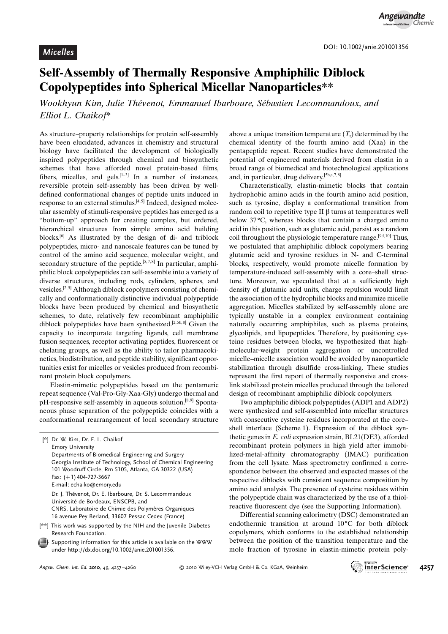## Self-Assembly of Thermally Responsive Amphiphilic Diblock Copolypeptides into Spherical Micellar Nanoparticles\*\*

Wookhyun Kim, Julie Thévenot, Emmanuel Ibarboure, Sébastien Lecommandoux, and Elliot L. Chaikof\*

As structure–property relationships for protein self-assembly have been elucidated, advances in chemistry and structural biology have facilitated the development of biologically inspired polypeptides through chemical and biosynthetic schemes that have afforded novel protein-based films, fibers, micelles, and gels.<sup>[1–3]</sup> In a number of instances, reversible protein self-assembly has been driven by welldefined conformational changes of peptide units induced in response to an external stimulus.<sup>[4,5]</sup> Indeed, designed molecular assembly of stimuli-responsive peptides has emerged as a "bottom-up" approach for creating complex, but ordered, hierarchical structures from simple amino acid building blocks.[6] As illustrated by the design of di- and triblock polypeptides, micro- and nanoscale features can be tuned by control of the amino acid sequence, molecular weight, and secondary structure of the peptide.<sup>[5,7,8]</sup> In particular, amphiphilic block copolypeptides can self-assemble into a variety of diverse structures, including rods, cylinders, spheres, and vesicles.<sup>[2,5]</sup> Although diblock copolymers consisting of chemically and conformationally distinctive individual polypeptide blocks have been produced by chemical and biosynthetic schemes, to date, relatively few recombinant amphiphilic diblock polypeptides have been synthesized.<sup>[2,5b,8]</sup> Given the capacity to incorporate targeting ligands, cell membrane fusion sequences, receptor activating peptides, fluorescent or chelating groups, as well as the ability to tailor pharmacokinetics, biodistribution, and peptide stability, significant opportunities exist for micelles or vesicles produced from recombinant protein block copolymers.

Elastin-mimetic polypeptides based on the pentameric repeat sequence (Val-Pro-Gly-Xaa-Gly) undergo thermal and pH-responsive self-assembly in aqueous solution.<sup>[8,9]</sup> Spontaneous phase separation of the polypeptide coincides with a conformational rearrangement of local secondary structure above a unique transition temperature  $(T_t)$  determined by the chemical identity of the fourth amino acid (Xaa) in the pentapeptide repeat. Recent studies have demonstrated the potential of engineered materials derived from elastin in a broad range of biomedical and biotechnological applications and, in particular, drug delivery.<sup>[5b,c, 7,8]</sup>

Characteristically, elastin-mimetic blocks that contain hydrophobic amino acids in the fourth amino acid position, such as tyrosine, display a conformational transition from random coil to repetitive type II  $\beta$  turns at temperatures well below 37 °C, whereas blocks that contain a charged amino acid in this position, such as glutamic acid, persist as a random coil throughout the physiologic temperature range.<sup>[9d, 10]</sup> Thus, we postulated that amphiphilic diblock copolymers bearing glutamic acid and tyrosine residues in N- and C-terminal blocks, respectively, would promote micelle formation by temperature-induced self-assembly with a core–shell structure. Moreover, we speculated that at a sufficiently high density of glutamic acid units, charge repulsion would limit the association of the hydrophilic blocks and minimize micelle aggregation. Micelles stabilized by self-assembly alone are typically unstable in a complex environment containing naturally occurring amphiphiles, such as plasma proteins, glycolipids, and lipopeptides. Therefore, by positioning cysteine residues between blocks, we hypothesized that highmolecular-weight protein aggregation or uncontrolled micelle–micelle association would be avoided by nanoparticle stabilization through disulfide cross-linking. These studies represent the first report of thermally responsive and crosslink stabilized protein micelles produced through the tailored design of recombinant amphiphilic diblock copolymers.

Two amphiphilic diblock polypeptides (ADP1 and ADP2) were synthesized and self-assembled into micellar structures with consecutive cysteine residues incorporated at the core– shell interface (Scheme 1). Expression of the diblock synthetic genes in E. coli expression strain, BL21(DE3), afforded recombinant protein polymers in high yield after immobilized-metal-affinity chromatography (IMAC) purification from the cell lysate. Mass spectrometry confirmed a correspondence between the observed and expected masses of the respective diblocks with consistent sequence composition by amino acid analysis. The presence of cysteine residues within the polypeptide chain was characterized by the use of a thiolreactive fluorescent dye (see the Supporting Information).

Differential scanning calorimetry (DSC) demonstrated an endothermic transition at around  $10^{\circ}$ C for both diblock copolymers, which conforms to the established relationship between the position of the transition temperature and the mole fraction of tyrosine in elastin-mimetic protein poly-



<sup>[\*]</sup> Dr. W. Kim, Dr. E. L. Chaikof Emory University Departments of Biomedical Engineering and Surgery Georgia Institute of Technology, School of Chemical Engineering 101 Woodruff Circle, Rm 5105, Atlanta, GA 30322 (USA) Fax: (+1) 404-727-3667 E-mail: echaiko@emory.edu Dr. J. Thévenot, Dr. E. Ibarboure, Dr. S. Lecommandoux Université de Bordeaux, ENSCPB, and CNRS, Laboratoire de Chimie des Polymères Organiques 16 avenue Pey Berland, 33607 Pessac Cedex (France) [\*\*] This work was supported by the NIH and the Juvenile Diabetes Research Foundation.

Supporting information for this article is available on the WWW under<http://dx.doi.org/10.1002/anie.201001356>.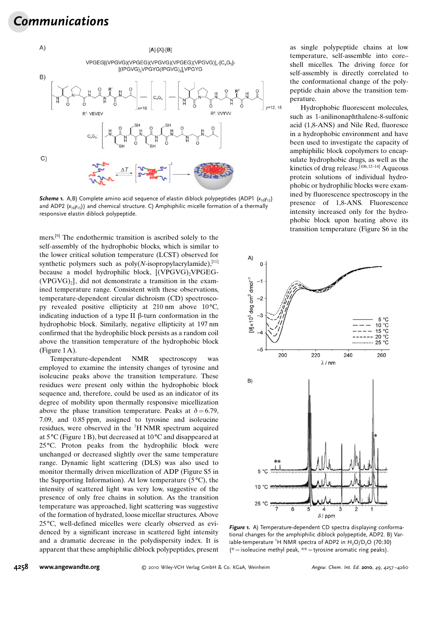## Communications



**Scheme 1.** A,B) Complete amino acid sequence of elastin diblock polypeptides (ADP1  $(x_{10}y_{12})$ ) and ADP2  $(x_{10}y_{15})$  and chemical structure. C) Amphiphilic micelle formation of a thermally responsive elastin diblock polypeptide.

mers.[9] The endothermic transition is ascribed solely to the self-assembly of the hydrophobic blocks, which is similar to the lower critical solution temperature (LCST) observed for synthetic polymers such as  $poly(N-$ isopropylacrylamide),<sup>[11]</sup> because a model hydrophilic block, [(VPGVG), VPGEG- $(VPGVG)_{2}$ , did not demonstrate a transition in the examined temperature range. Consistent with these observations, temperature-dependent circular dichroism (CD) spectroscopy revealed positive ellipticity at  $210 \text{ nm}$  above  $10^{\circ}\text{C}$ , indicating induction of a type II  $\beta$ -turn conformation in the hydrophobic block. Similarly, negative ellipticity at 197 nm confirmed that the hydrophilic block persists as a random coil above the transition temperature of the hydrophobic block (Figure 1A).

Temperature-dependent NMR spectroscopy was employed to examine the intensity changes of tyrosine and isoleucine peaks above the transition temperature. These residues were present only within the hydrophobic block sequence and, therefore, could be used as an indicator of its degree of mobility upon thermally responsive micellization above the phase transition temperature. Peaks at  $\delta = 6.79$ , 7.09, and 0.85 ppm, assigned to tyrosine and isoleucine residues, were observed in the <sup>1</sup>H NMR spectrum acquired at  $5^{\circ}$ C (Figure 1 B), but decreased at 10 $^{\circ}$ C and disappeared at  $25^{\circ}$ C. Proton peaks from the hydrophilic block were unchanged or decreased slightly over the same temperature range. Dynamic light scattering (DLS) was also used to monitor thermally driven micellization of ADP (Figure S5 in the Supporting Information). At low temperature ( $5^{\circ}$ C), the intensity of scattered light was very low, suggestive of the presence of only free chains in solution. As the transition temperature was approached, light scattering was suggestive of the formation of hydrated, loose micellar structures. Above 25<sup>°</sup>C, well-defined micelles were clearly observed as evidenced by a significant increase in scattered light intensity and a dramatic decrease in the polydispersity index. It is apparent that these amphiphilic diblock polypeptides, present as single polypeptide chains at low temperature, self-assemble into core– shell micelles. The driving force for self-assembly is directly correlated to the conformational change of the polypeptide chain above the transition temperature.

Hydrophobic fluorescent molecules, such as 1-anilinonaphthalene-8-sulfonic acid (1,8-ANS) and Nile Red, fluoresce in a hydrophobic environment and have been used to investigate the capacity of amphiphilic block copolymers to encapsulate hydrophobic drugs, as well as the kinetics of drug release. $[10b, 12-14]$  Aqueous protein solutions of individual hydrophobic or hydrophilic blocks were examined by fluorescence spectroscopy in the presence of 1,8-ANS. Fluorescence intensity increased only for the hydrophobic block upon heating above its transition temperature (Figure S6 in the



Figure 1. A) Temperature-dependent CD spectra displaying conformational changes for the amphiphilic diblock polypeptide, ADP2. B) Variable-temperature <sup>1</sup>H NMR spectra of ADP2 in  $H_2O/D_2O$  (70:30)  $(*)$  isoleucine methyl peak,  $**$  = tyrosine aromatic ring peaks).

## 4258 [www.angewandte.org](http://www.angewandte.org)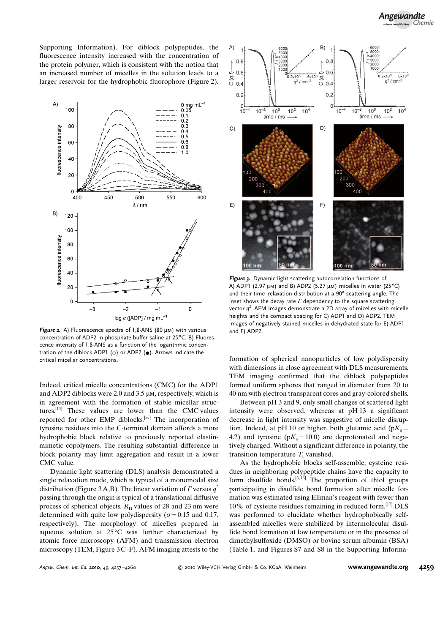Supporting Information). For diblock polypeptides, the fluorescence intensity increased with the concentration of the protein polymer, which is consistent with the notion that an increased number of micelles in the solution leads to a larger reservoir for the hydrophobic fluorophore (Figure 2).



Figure 2. A) Fluorescence spectra of 1,8-ANS (80  $\mu$ m) with various concentration of ADP2 in phosphate buffer saline at 25 °C. B) Fluorescence intensity of 1,8-ANS as a function of the logarithmic concentration of the diblock ADP1 ( $\circ$ ) or ADP2 ( $\bullet$ ). Arrows indicate the critical micellar concentrations.

Indeed, critical micelle concentrations (CMC) for the ADP1 and ADP2 diblocks were  $2.0$  and  $3.5 \mu$ m, respectively, which is in agreement with the formation of stable micellar structures.[15] These values are lower than the CMC values reported for other EMP diblocks.<sup>[5c]</sup> The incorporation of tyrosine residues into the C-terminal domain affords a more hydrophobic block relative to previously reported elastinmimetic copolymers. The resulting substantial difference in block polarity may limit aggregation and result in a lower CMC value.

Dynamic light scattering (DLS) analysis demonstrated a single relaxation mode, which is typical of a monomodal size distribution (Figure 3A,B). The linear variation of  $\Gamma$  versus  $q^2$ passing through the origin is typical of a translational diffusive process of spherical objects.  $R_H$  values of 28 and 23 nm were determined with quite low polydispersity ( $\sigma$  = 0.15 and 0.17, respectively). The morphology of micelles prepared in aqueous solution at  $25^{\circ}$ C was further characterized by atomic force microscopy (AFM) and transmission electron microscopy (TEM, Figure  $3C-F$ ). AFM imaging attests to the



Figure 3. Dynamic light scattering autocorrelation functions of A) ADP1 (2.97  $\mu$ m) and B) ADP2 (5.27  $\mu$ m) micelles in water (25 °C) and their time–relaxation distribution at a 90° scattering angle. The inset shows the decay rate  $\Gamma$  dependency to the square scattering vector  $q^2$ . AFM images demonstrate a 2D array of micelles with micelle heights and the compact spacing for C) ADP1 and D) ADP2. TEM images of negatively stained micelles in dehydrated state for E) ADP1 and F) ADP2.

formation of spherical nanoparticles of low polydispersity with dimensions in close agreement with DLS measurements. TEM imaging confirmed that the diblock polypeptides formed uniform spheres that ranged in diameter from 20 to 40 nm with electron transparent cores and gray-colored shells.

Between pH 3 and 9, only small changes of scattered light intensity were observed, whereas at pH 13 a significant decrease in light intensity was suggestive of micelle disruption. Indeed, at pH 10 or higher, both glutamic acid ( $pK_a$  = 4.2) and tyrosine ( $pK_a = 10.0$ ) are deprotonated and negatively charged. Without a significant difference in polarity, the transition temperature  $T<sub>t</sub>$  vanished.

As the hydrophobic blocks self-assemble, cysteine residues in neighboring polypeptide chains have the capacity to form disulfide bonds.<sup>[3,16]</sup> The proportion of thiol groups participating in disulfide bond formation after micelle formation was estimated using Ellman's reagent with fewer than 10% of cysteine residues remaining in reduced form.[17] DLS was performed to elucidate whether hydrophobically selfassembled micelles were stabilized by intermolecular disulfide bond formation at low temperature or in the presence of dimethylsulfoxide (DMSO) or bovine serum albumin (BSA) (Table 1, and Figures S7 and S8 in the Supporting Informa-